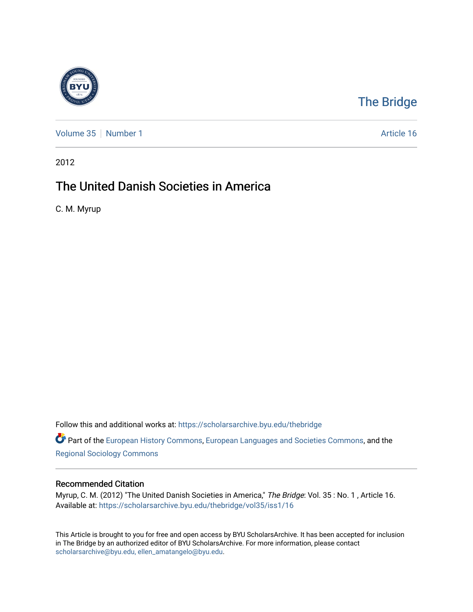

## [The Bridge](https://scholarsarchive.byu.edu/thebridge)

[Volume 35](https://scholarsarchive.byu.edu/thebridge/vol35) [Number 1](https://scholarsarchive.byu.edu/thebridge/vol35/iss1) Article 16

2012

## The United Danish Societies in America

C. M. Myrup

Follow this and additional works at: [https://scholarsarchive.byu.edu/thebridge](https://scholarsarchive.byu.edu/thebridge?utm_source=scholarsarchive.byu.edu%2Fthebridge%2Fvol35%2Fiss1%2F16&utm_medium=PDF&utm_campaign=PDFCoverPages) 

Part of the [European History Commons](http://network.bepress.com/hgg/discipline/492?utm_source=scholarsarchive.byu.edu%2Fthebridge%2Fvol35%2Fiss1%2F16&utm_medium=PDF&utm_campaign=PDFCoverPages), [European Languages and Societies Commons,](http://network.bepress.com/hgg/discipline/482?utm_source=scholarsarchive.byu.edu%2Fthebridge%2Fvol35%2Fiss1%2F16&utm_medium=PDF&utm_campaign=PDFCoverPages) and the [Regional Sociology Commons](http://network.bepress.com/hgg/discipline/427?utm_source=scholarsarchive.byu.edu%2Fthebridge%2Fvol35%2Fiss1%2F16&utm_medium=PDF&utm_campaign=PDFCoverPages) 

## Recommended Citation

Myrup, C. M. (2012) "The United Danish Societies in America," The Bridge: Vol. 35: No. 1, Article 16. Available at: [https://scholarsarchive.byu.edu/thebridge/vol35/iss1/16](https://scholarsarchive.byu.edu/thebridge/vol35/iss1/16?utm_source=scholarsarchive.byu.edu%2Fthebridge%2Fvol35%2Fiss1%2F16&utm_medium=PDF&utm_campaign=PDFCoverPages)

This Article is brought to you for free and open access by BYU ScholarsArchive. It has been accepted for inclusion in The Bridge by an authorized editor of BYU ScholarsArchive. For more information, please contact [scholarsarchive@byu.edu, ellen\\_amatangelo@byu.edu](mailto:scholarsarchive@byu.edu,%20ellen_amatangelo@byu.edu).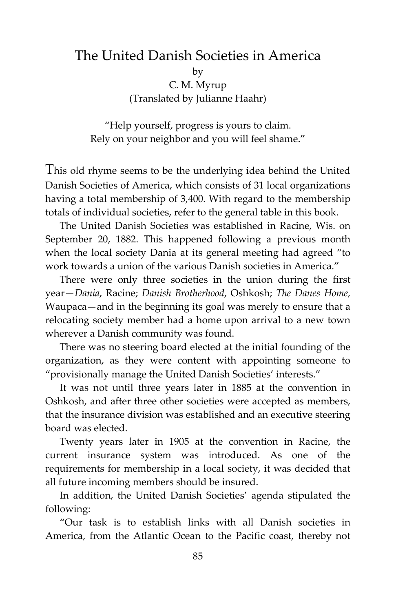## The United Danish Societies in America

by

C. M. Myrup (Translated by Julianne Haahr)

"Help yourself, progress is yours to claim. Rely on your neighbor and you will feel shame."

This old rhyme seems to be the underlying idea behind the United Danish Societies of America, which consists of 31 local organizations having a total membership of 3,400. With regard to the membership totals of individual societies, refer to the general table in this book.

The United Danish Societies was established in Racine, Wis. on September 20, 1882. This happened following a previous month when the local society Dania at its general meeting had agreed "to work towards a union of the various Danish societies in America."

There were only three societies in the union during the first year—*Dania*, Racine; *Danish Brotherhood*, Oshkosh; *The Danes Home*, Waupaca—and in the beginning its goal was merely to ensure that a relocating society member had a home upon arrival to a new town wherever a Danish community was found.

There was no steering board elected at the initial founding of the organization, as they were content with appointing someone to "provisionally manage the United Danish Societies' interests."

It was not until three years later in 1885 at the convention in Oshkosh, and after three other societies were accepted as members, that the insurance division was established and an executive steering board was elected.

Twenty years later in 1905 at the convention in Racine, the current insurance system was introduced. As one of the requirements for membership in a local society, it was decided that all future incoming members should be insured.

In addition, the United Danish Societies' agenda stipulated the following:

"Our task is to establish links with all Danish societies in America, from the Atlantic Ocean to the Pacific coast, thereby not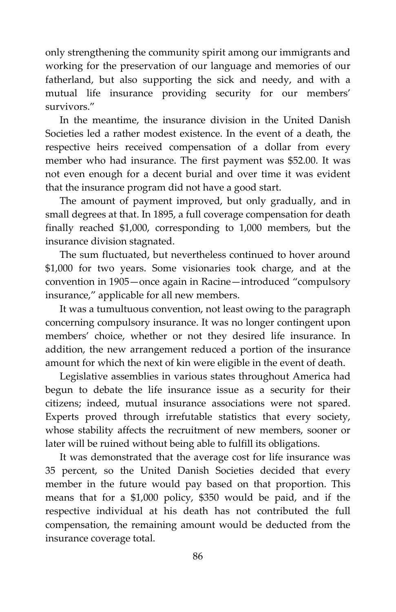only strengthening the community spirit among our immigrants and working for the preservation of our language and memories of our fatherland, but also supporting the sick and needy, and with a mutual life insurance providing security for our members' survivors."

In the meantime, the insurance division in the United Danish Societies led a rather modest existence. In the event of a death, the respective heirs received compensation of a dollar from every member who had insurance. The first payment was \$52.00. It was not even enough for a decent burial and over time it was evident that the insurance program did not have a good start.

The amount of payment improved, but only gradually, and in small degrees at that. In 1895, a full coverage compensation for death finally reached \$1,000, corresponding to 1,000 members, but the insurance division stagnated.

The sum fluctuated, but nevertheless continued to hover around \$1,000 for two years. Some visionaries took charge, and at the convention in 1905—once again in Racine—introduced "compulsory insurance," applicable for all new members.

It was a tumultuous convention, not least owing to the paragraph concerning compulsory insurance. It was no longer contingent upon members' choice, whether or not they desired life insurance. In addition, the new arrangement reduced a portion of the insurance amount for which the next of kin were eligible in the event of death.

Legislative assemblies in various states throughout America had begun to debate the life insurance issue as a security for their citizens; indeed, mutual insurance associations were not spared. Experts proved through irrefutable statistics that every society, whose stability affects the recruitment of new members, sooner or later will be ruined without being able to fulfill its obligations.

It was demonstrated that the average cost for life insurance was 35 percent, so the United Danish Societies decided that every member in the future would pay based on that proportion. This means that for a \$1,000 policy, \$350 would be paid, and if the respective individual at his death has not contributed the full compensation, the remaining amount would be deducted from the insurance coverage total.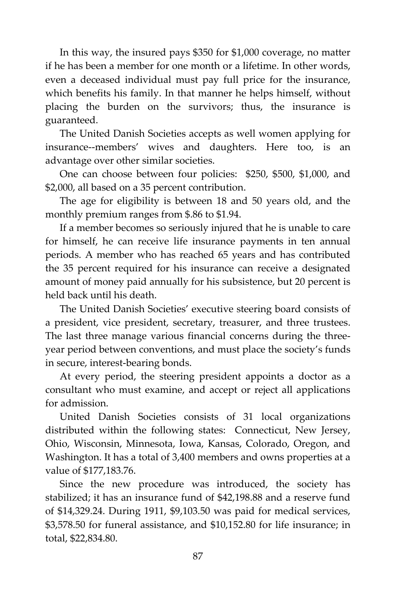In this way, the insured pays \$350 for \$1,000 coverage, no matter if he has been a member for one month or a lifetime. In other words, even a deceased individual must pay full price for the insurance, which benefits his family. In that manner he helps himself, without placing the burden on the survivors; thus, the insurance is guaranteed.

The United Danish Societies accepts as well women applying for insurance--members' wives and daughters. Here too, is an advantage over other similar societies.

One can choose between four policies: \$250, \$500, \$1,000, and \$2,000, all based on a 35 percent contribution.

The age for eligibility is between 18 and 50 years old, and the monthly premium ranges from \$.86 to \$1.94.

If a member becomes so seriously injured that he is unable to care for himself, he can receive life insurance payments in ten annual periods. A member who has reached 65 years and has contributed the 35 percent required for his insurance can receive a designated amount of money paid annually for his subsistence, but 20 percent is held back until his death.

The United Danish Societies' executive steering board consists of a president, vice president, secretary, treasurer, and three trustees. The last three manage various financial concerns during the threeyear period between conventions, and must place the society's funds in secure, interest-bearing bonds.

At every period, the steering president appoints a doctor as a consultant who must examine, and accept or reject all applications for admission.

United Danish Societies consists of 31 local organizations distributed within the following states: Connecticut, New Jersey, Ohio, Wisconsin, Minnesota, Iowa, Kansas, Colorado, Oregon, and Washington. It has a total of 3,400 members and owns properties at a value of \$177,183.76.

Since the new procedure was introduced, the society has stabilized; it has an insurance fund of \$42,198.88 and a reserve fund of \$14,329.24. During 1911, \$9,103.50 was paid for medical services, \$3,578.50 for funeral assistance, and \$10,152.80 for life insurance; in total, \$22,834.80.